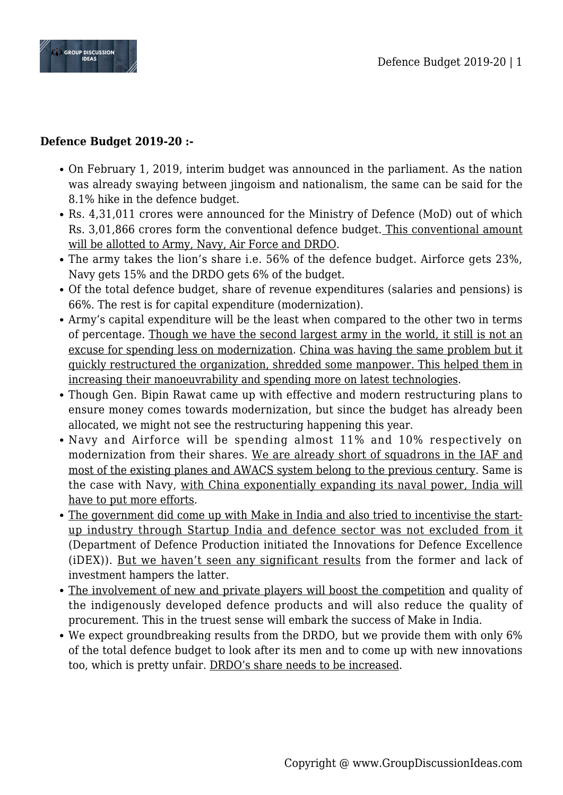

## **Defence Budget 2019-20 :-**

- On February 1, 2019, interim budget was announced in the parliament. As the nation was already swaying between jingoism and nationalism, the same can be said for the 8.1% hike in the defence budget.
- Rs. 4,31,011 crores were announced for the Ministry of Defence (MoD) out of which Rs. 3,01,866 crores form the conventional defence budget. This conventional amount will be allotted to Army, Navy, Air Force and DRDO.
- The army takes the lion's share i.e. 56% of the defence budget. Airforce gets 23%, Navy gets 15% and the DRDO gets 6% of the budget.
- Of the total defence budget, share of revenue expenditures (salaries and pensions) is 66%. The rest is for capital expenditure (modernization).
- Army's capital expenditure will be the least when compared to the other two in terms of percentage. Though we have the second largest army in the world, it still is not an excuse for spending less on modernization. China was having the same problem but it quickly restructured the organization, shredded some manpower. This helped them in increasing their manoeuvrability and spending more on latest technologies.
- Though Gen. Bipin Rawat came up with effective and modern restructuring plans to ensure money comes towards modernization, but since the budget has already been allocated, we might not see the restructuring happening this year.
- Navy and Airforce will be spending almost 11% and 10% respectively on modernization from their shares. We are already short of squadrons in the IAF and most of the existing planes and AWACS system belong to the previous century. Same is the case with Navy, with China exponentially expanding its naval power, India will have to put more efforts.
- The government did come up with Make in India and also tried to incentivise the startup industry through Startup India and defence sector was not excluded from it (Department of Defence Production initiated the Innovations for Defence Excellence (iDEX)). But we haven't seen any significant results from the former and lack of investment hampers the latter.
- The involvement of new and private players will boost the competition and quality of the indigenously developed defence products and will also reduce the quality of procurement. This in the truest sense will embark the success of Make in India.
- We expect groundbreaking results from the DRDO, but we provide them with only 6% of the total defence budget to look after its men and to come up with new innovations too, which is pretty unfair. DRDO's share needs to be increased.